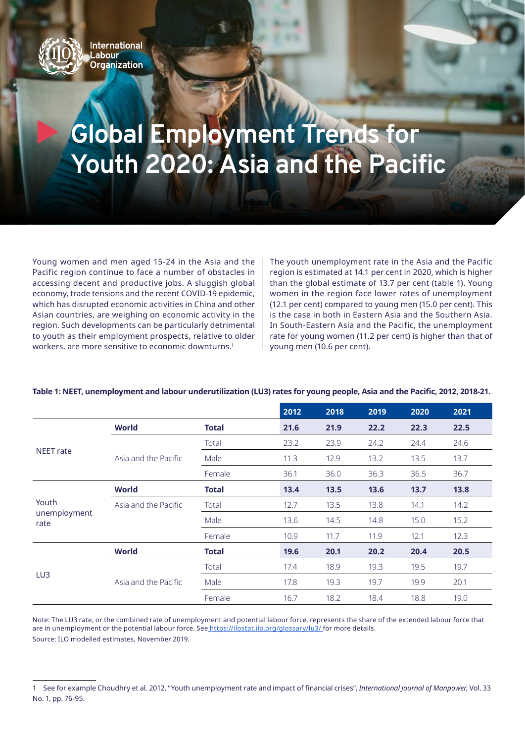

## **Global Employment Trends for Youth 2020: Asia and the Pacific**

Young women and men aged 15-24 in the Asia and the Pacific region continue to face a number of obstacles in accessing decent and productive jobs. A sluggish global economy, trade tensions and the recent COVID-19 epidemic, which has disrupted economic activities in China and other Asian countries, are weighing on economic activity in the region. Such developments can be particularly detrimental to youth as their employment prospects, relative to older workers, are more sensitive to economic downturns.1

The youth unemployment rate in the Asia and the Pacific region is estimated at 14.1 per cent in 2020, which is higher than the global estimate of 13.7 per cent (table 1). Young women in the region face lower rates of unemployment (12.1 per cent) compared to young men (15.0 per cent). This is the case in both in Eastern Asia and the Southern Asia. In South-Eastern Asia and the Pacific, the unemployment rate for young women (11.2 per cent) is higher than that of young men (10.6 per cent).

|                               |                      |              | 2012 | 2018 | 2019 | 2020 | 2021 |
|-------------------------------|----------------------|--------------|------|------|------|------|------|
| <b>NEET</b> rate              | <b>World</b>         | <b>Total</b> | 21.6 | 21.9 | 22.2 | 22.3 | 22.5 |
|                               |                      | Total        | 23.2 | 23.9 | 24.2 | 24.4 | 24.6 |
|                               | Asia and the Pacific | Male         | 11.3 | 12.9 | 13.2 | 13.5 | 13.7 |
|                               |                      | Female       | 36.1 | 36.0 | 36.3 | 36.5 | 36.7 |
| Youth<br>unemployment<br>rate | <b>World</b>         | <b>Total</b> | 13.4 | 13.5 | 13.6 | 13.7 | 13.8 |
|                               | Asia and the Pacific | Total        | 12.7 | 13.5 | 13.8 | 14.1 | 14.2 |
|                               |                      | Male         | 13.6 | 14.5 | 14.8 | 15.0 | 15.2 |
|                               |                      | Female       | 10.9 | 11.7 | 11.9 | 12.1 | 12.3 |
| LU3                           | <b>World</b>         | <b>Total</b> | 19.6 | 20.1 | 20.2 | 20.4 | 20.5 |
|                               |                      | Total        | 17.4 | 18.9 | 19.3 | 19.5 | 19.7 |
|                               | Asia and the Pacific | Male         | 17.8 | 19.3 | 19.7 | 19.9 | 20.1 |
|                               |                      | Female       | 16.7 | 18.2 | 18.4 | 18.8 | 19.0 |

## Table 1: NEET, unemployment and labour underutilization (LU3) rates for young people, Asia and the Pacific, 2012, 2018-21.

Note: The LU3 rate, or the combined rate of unemployment and potential labour force, represents the share of the extended labour force that are in unemployment or the potential labour force. See [https://ilostat.ilo.org/glossary/lu3/]( https://ilostat.ilo.org/glossary/lu3/) for more details. Source: ILO modelled estimates, November 2019.

<sup>1</sup> See for example Choudhry et al. 2012. "Youth unemployment rate and impact of financial crises", *International Journal of Manpower*, Vol. 33 No. 1, pp. 76-95.